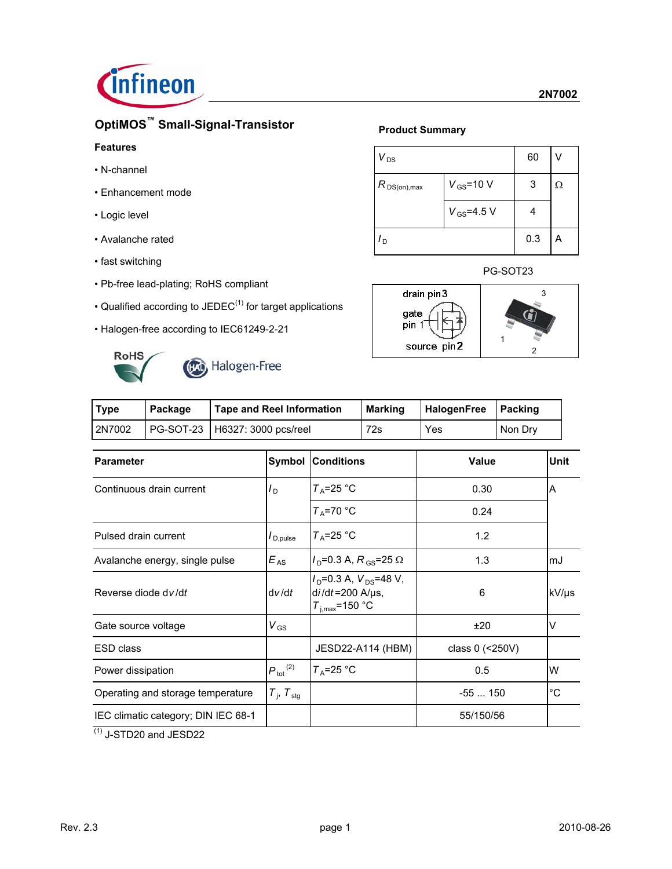

# **OptiMOS™ Small-Signal-Transistor**

### **Features**

- N-channel
- Enhancement mode
- Logic level
- Avalanche rated
- fast switching
- Pb-free lead-plating; RoHS compliant
- Qualified according to JEDEC $<sup>(1)</sup>$  for target applications</sup>
- Halogen-free according to IEC61249-2-21



# **Product Summary**

| $V_{DS}$                           | 60               |     |   |
|------------------------------------|------------------|-----|---|
| $V_{GS}$ =10 V<br>$R_{DS(on),max}$ |                  | 3   | Ω |
|                                    | $V_{GS} = 4.5 V$ |     |   |
| l <sub>D</sub>                     |                  | 0.3 | А |

### PG-SOT23



| Type   | Package | <b>Tape and Reel Information</b> | HalogenFree   Packing<br>Marking |     |         |
|--------|---------|----------------------------------|----------------------------------|-----|---------|
| 2N7002 |         | PG-SOT-23   H6327: 3000 pcs/reel | 72s                              | Yes | Non Drv |

| <b>Parameter</b>                    |                                   | <b>Symbol Conditions</b>                                                          | <b>Value</b>      | Unit        |
|-------------------------------------|-----------------------------------|-----------------------------------------------------------------------------------|-------------------|-------------|
| Continuous drain current            | $I_{\sf D}$                       | $T_A = 25$ °C                                                                     | 0.30              | A           |
|                                     |                                   | $T_A = 70$ °C                                                                     | 0.24              |             |
| Pulsed drain current                | $I_{\mathsf{D},\mathsf{pulse}}$   | $T_A = 25$ °C                                                                     | 1.2               |             |
| Avalanche energy, single pulse      | $E_{AS}$                          | $I_{\text{D}}$ =0.3 A, $R_{\text{GS}}$ =25 $\Omega$                               | 1.3               | lmJ         |
| Reverse diode dv/dt                 | dv/dt                             | $I_D$ =0.3 A, $V_{DS}$ =48 V,<br>$di/dt = 200$ A/ $\mu$ s,<br>$T_{i,max}$ =150 °C | 6                 | kV/µs       |
| Gate source voltage                 | $V_{GS}$                          |                                                                                   | ±20               | v           |
| <b>ESD class</b>                    |                                   | JESD22-A114 (HBM)                                                                 | class $0$ (<250V) |             |
| Power dissipation                   | $P_{\text{tot}}^{(2)}$            | $T_A = 25$ °C                                                                     | 0.5               | W           |
| Operating and storage temperature   | $T_{\text{I}}$ , $T_{\text{stg}}$ |                                                                                   | $-55150$          | $^{\circ}C$ |
| IEC climatic category; DIN IEC 68-1 |                                   |                                                                                   | 55/150/56         |             |

 $(1)$  J-STD20 and JESD22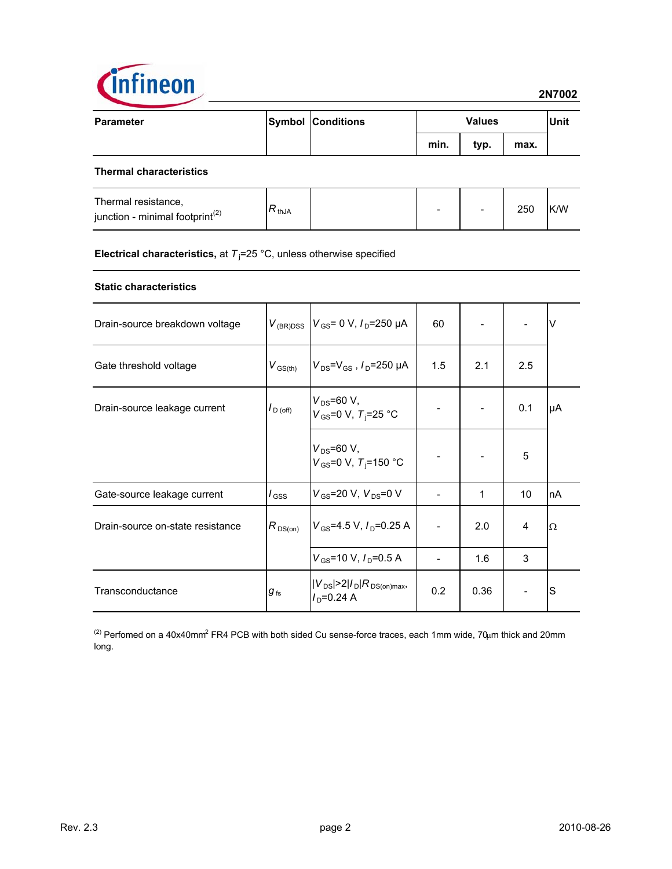

| <b>Parameter</b> | <b>Symbol Conditions</b> | <b>Values</b> |      |      | <b>Unit</b> |
|------------------|--------------------------|---------------|------|------|-------------|
|                  |                          | min.          | typ. | max. |             |
|                  |                          |               |      |      |             |

### **Thermal characteristics**

| Thermal resistance,<br>junction - minimal footprint <sup>(2)</sup> | $\nabla$ thJA |  | $\overline{\phantom{0}}$ |  | 250 | K/W |
|--------------------------------------------------------------------|---------------|--|--------------------------|--|-----|-----|
|--------------------------------------------------------------------|---------------|--|--------------------------|--|-----|-----|

### **Electrical characteristics,** at  $T<sub>j</sub>$ =25 °C, unless otherwise specified

### **Static characteristics**

| Drain-source breakdown voltage   |                      | $V_{\text{(BR)DSS}}$ $V_{\text{GS}}$ = 0 V, $I_{\text{D}}$ = 250 µA | 60  |      |                | V  |
|----------------------------------|----------------------|---------------------------------------------------------------------|-----|------|----------------|----|
| Gate threshold voltage           | $V_{\text{GS(th)}}$  | $V_{DS} = V_{GS}$ , $I_D = 250 \mu A$                               | 1.5 | 2.1  | 2.5            |    |
| Drain-source leakage current     | $I_{\text{D (off)}}$ | $V_{DS} = 60 V,$<br>$V_{GS}$ =0 V, $T_i$ =25 °C                     |     |      | 0.1            | μA |
|                                  |                      | $V_{DS} = 60 V,$<br>$V_{\text{GS}}$ =0 V, T <sub>i</sub> =150 °C    |     |      | 5              |    |
| Gate-source leakage current      | l <sub>GSS</sub>     | $V_{GS}$ =20 V, $V_{DS}$ =0 V                                       |     | 1    | 10             | nA |
| Drain-source on-state resistance | $R_{DS(on)}$         | $V_{\text{GS}}$ =4.5 V, $I_{\text{D}}$ =0.25 A                      |     | 2.0  | $\overline{4}$ | Ω  |
|                                  |                      | $V_{GS}$ =10 V, $I_{D}$ =0.5 A                                      |     | 1.6  | 3              |    |
| Transconductance                 | $g_{\,\rm fs}$       | $ V_{DS} $ >2 / <sub>D</sub> $ R_{DS(on)max}$ ,<br>$ID=0.24 A$      | 0.2 | 0.36 |                | S  |

<sup>(2)</sup> Perfomed on a 40x40mm<sup>2</sup> FR4 PCB with both sided Cu sense-force traces, each 1mm wide, 70µm thick and 20mm long.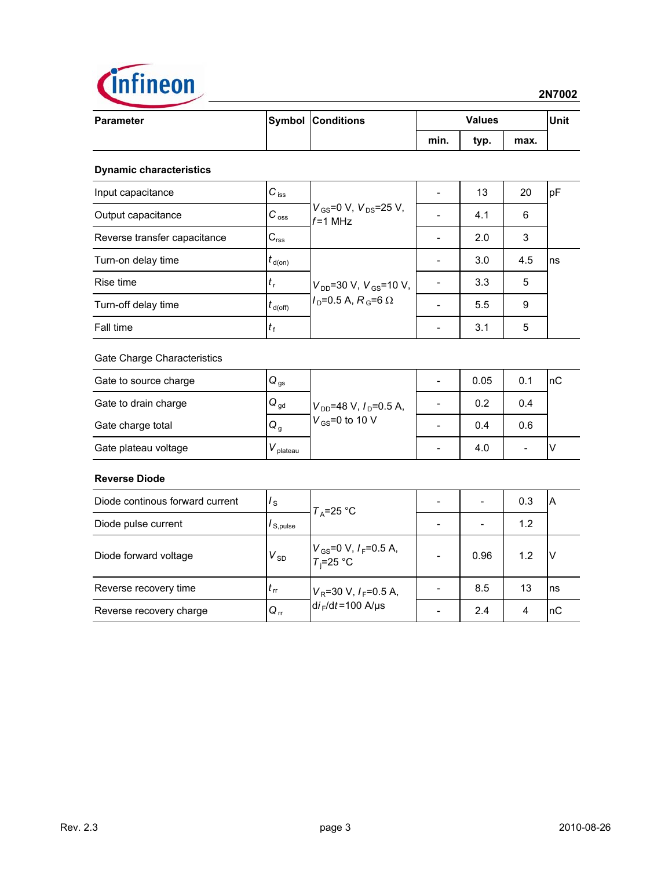

| <b>Parameter</b>               |                                | <b>Symbol Conditions</b>                                                             | <b>Values</b> |      |      | <b>Unit</b> |
|--------------------------------|--------------------------------|--------------------------------------------------------------------------------------|---------------|------|------|-------------|
|                                |                                |                                                                                      | min.          | typ. | max. |             |
| <b>Dynamic characteristics</b> |                                |                                                                                      |               |      |      |             |
| Input capacitance              | $C_{\text{iss}}$               |                                                                                      |               | 13   | 20   | pF          |
| Output capacitance             | $C_{\rm \,oss}$                | $V_{GS}$ =0 V, $V_{DS}$ =25 V,<br>$f = 1$ MHz                                        |               | 4.1  | 6    |             |
| Reverse transfer capacitance   | $C_{\text{rss}}$               |                                                                                      |               | 2.0  | 3    |             |
| Turn-on delay time             | $t_{\sf d(on)}$                | $V_{DD}$ =30 V, $V_{GS}$ =10 V,<br>$I_{\text{D}}$ =0.5 A, R <sub>G</sub> =6 $\Omega$ |               | 3.0  | 4.5  | ns          |
| Rise time                      | $t_{\rm r}$                    |                                                                                      |               | 3.3  | 5    |             |
| Turn-off delay time            | $t_{\mathsf{d}(\mathsf{off})}$ |                                                                                      |               | 5.5  | 9    |             |
| Fall time                      | $t_{\rm f}$                    |                                                                                      |               | 3.1  | 5    |             |
| Gate Charge Characteristics    |                                |                                                                                      |               |      |      |             |
| Gate to source charge          | $Q_{gs}$                       |                                                                                      |               | 0.05 | 0.1  | nC          |
| Gate to drain charge           | $\mathsf{Q}_{\mathsf{gd}}$     | $V_{DD}$ =48 V, $I_D$ =0.5 A,<br>$V_{GS}$ =0 to 10 V                                 |               | 0.2  | 0.4  |             |
| Gate charge total              | Q <sub>g</sub>                 |                                                                                      |               | 0.4  | 0.6  |             |
| Gate plateau voltage           | $V_{\text{plateau}}$           |                                                                                      |               | 4.0  |      | ٧           |

### **Reverse Diode**

| Diode continous forward current | $\frac{1}{\text{s}}$       | $T_A = 25$ °C                                |      | 0.3 | IΑ  |
|---------------------------------|----------------------------|----------------------------------------------|------|-----|-----|
| Diode pulse current             | $\prime$ S.pulse           |                                              |      | 1.2 |     |
| Diode forward voltage           | $V_{SD}$                   | $V_{GS}$ =0 V, $I_F$ =0.5 A,<br>$T_i$ =25 °C | 0.96 | 1.2 |     |
| Reverse recovery time           | $t_{\rm rr}$               | $V_R$ =30 V, $I_F$ =0.5 A,                   | 8.5  | 13  | Ins |
| Reverse recovery charge         | $\mathsf{Q}_{\,\text{rr}}$ | $di$ <sub>F</sub> /dt=100 A/us               | 2.4  |     | InC |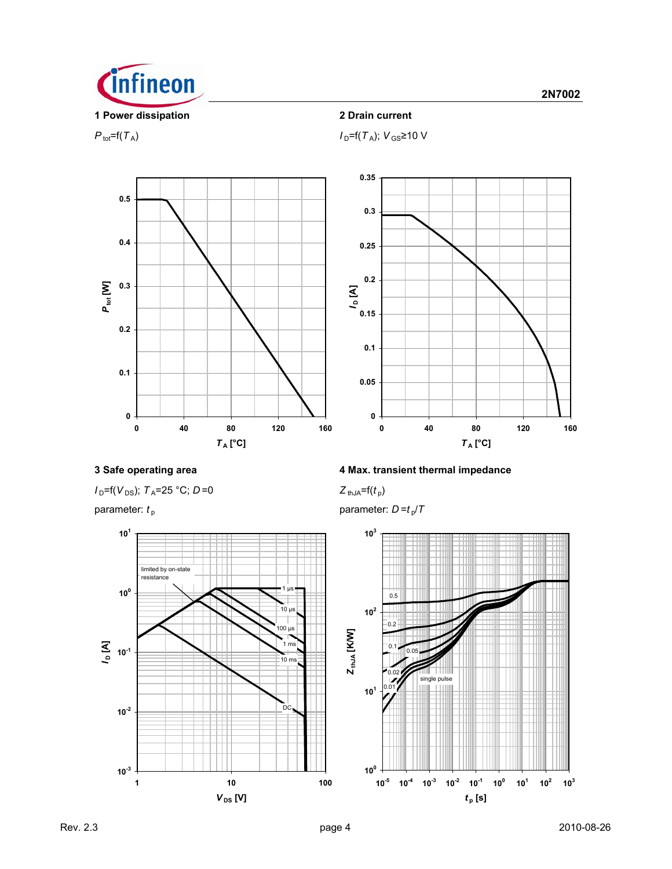

 $P_{\text{tot}}=f(T_A); V_{\text{GS}}\geq 10 \text{ V}$ 





 $I_D = f(V_{DS})$ ;  $T_A = 25$  °C;  $D = 0$  *Z* thJA= $f(t_p)$ 



# **3 Safe operating area 4 Max. transient thermal impedance**

parameter:  $t_p$  parameter:  $D = t_p/T$ 

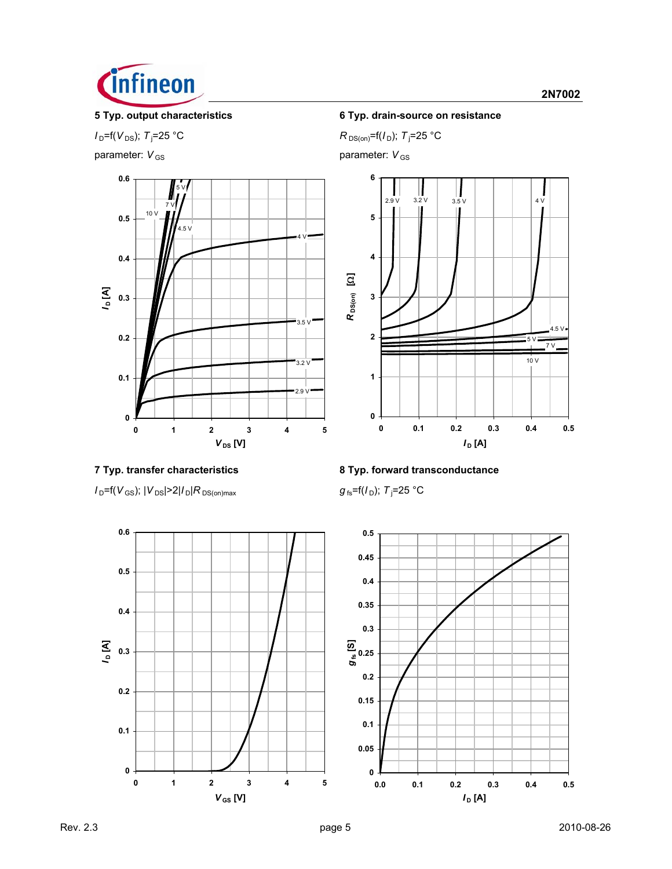

 $I_{D}$ =f( $V_{DS}$ );  $T_{j}$ =25 °C

parameter:  $V_{\text{GS}}$  parameter:  $V_{\text{GS}}$ 



# **5 Typ. output characteristics 6 Typ. drain-source on resistance**

 $R_{DS(on)} = f(I_D); T_j = 25 °C$ 



 $I_D$ =f( $V_{GS}$ );  $|V_{DS}|$ >2| $I_D$ | $R_{DS(on)max}$ 



 $g_{fs}$ =f( $I_D$ ); T<sub>i</sub>=25 °C



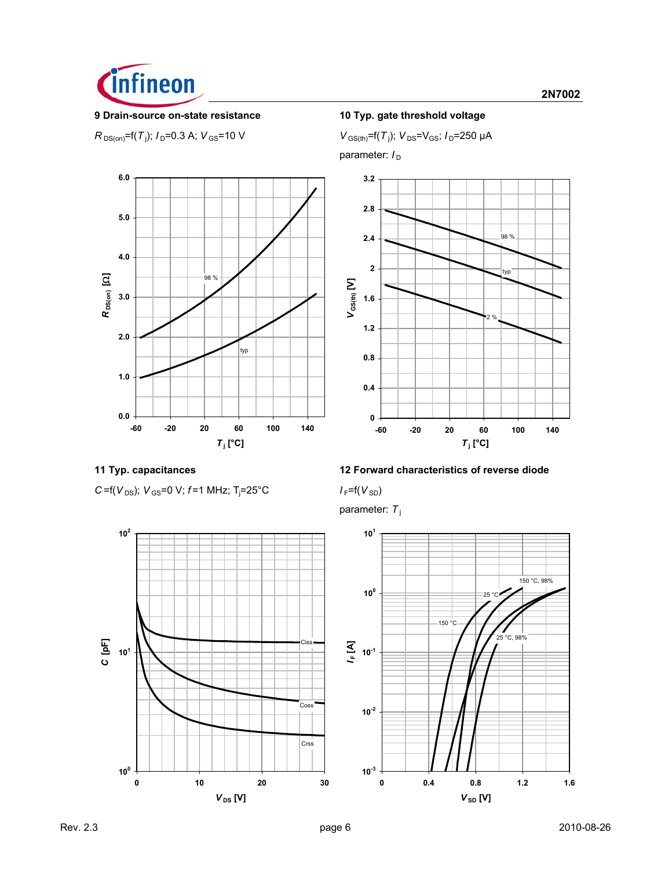

### **9 Drain-source on-state resistance 10 Typ. gate threshold voltage**

 $R_{DS(on)}$ =f(*T*<sub>j</sub>); *I*<sub>D</sub>=0.3 A; *V*<sub>GS</sub>=10 V *V*<sub>GS(th)</sub>=f(*T*<sub>j</sub>



 $V_{\text{GS(th)}}$ =f(T<sub>j</sub>);  $V_{\text{DS}}$ = $V_{\text{GS}}$ ;  $I_{\text{D}}$ =250 µA

parameter:  $I_D$ 









# **11 Typ. capacitances 12 Forward characteristics of reverse diode**

=25°C *I* F=f(*V* SD)

parameter: *T* <sup>j</sup>

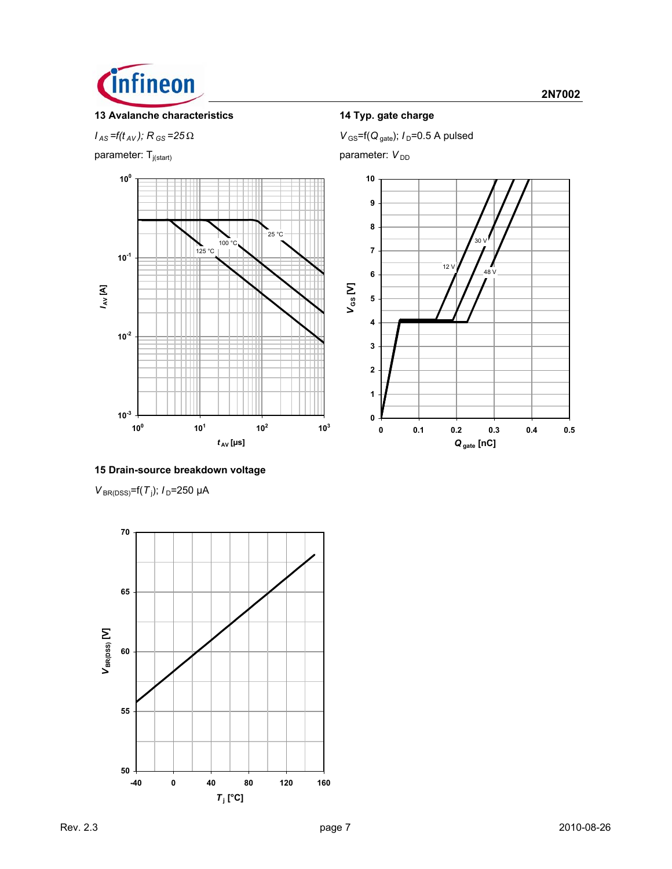

# **13 Avalanche characteristics 14 Typ. gate charge**

parameter:  $T_{j(stat)}$  parameter:  $V_{DD}$ 



 $V_{\text{GS}} = f(t_{AV})$ ;  $R_{\text{GS}} = 25 \Omega$  *V*  $_{\text{GS}} = f(Q_{\text{gate}})$ ;  $I_{\text{D}} = 0.5$  A pulsed



### **15 Drain-source breakdown voltage**

*V*<sub>BR(DSS)</sub>=f(*T*<sub>j</sub>); *I*<sub>D</sub>=250 µA

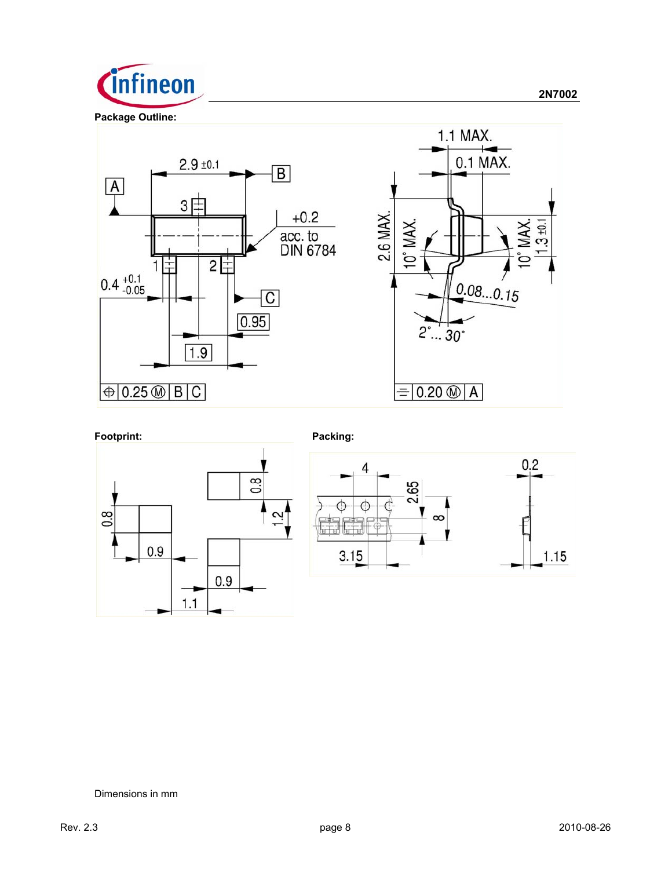









### Dimensions in mm